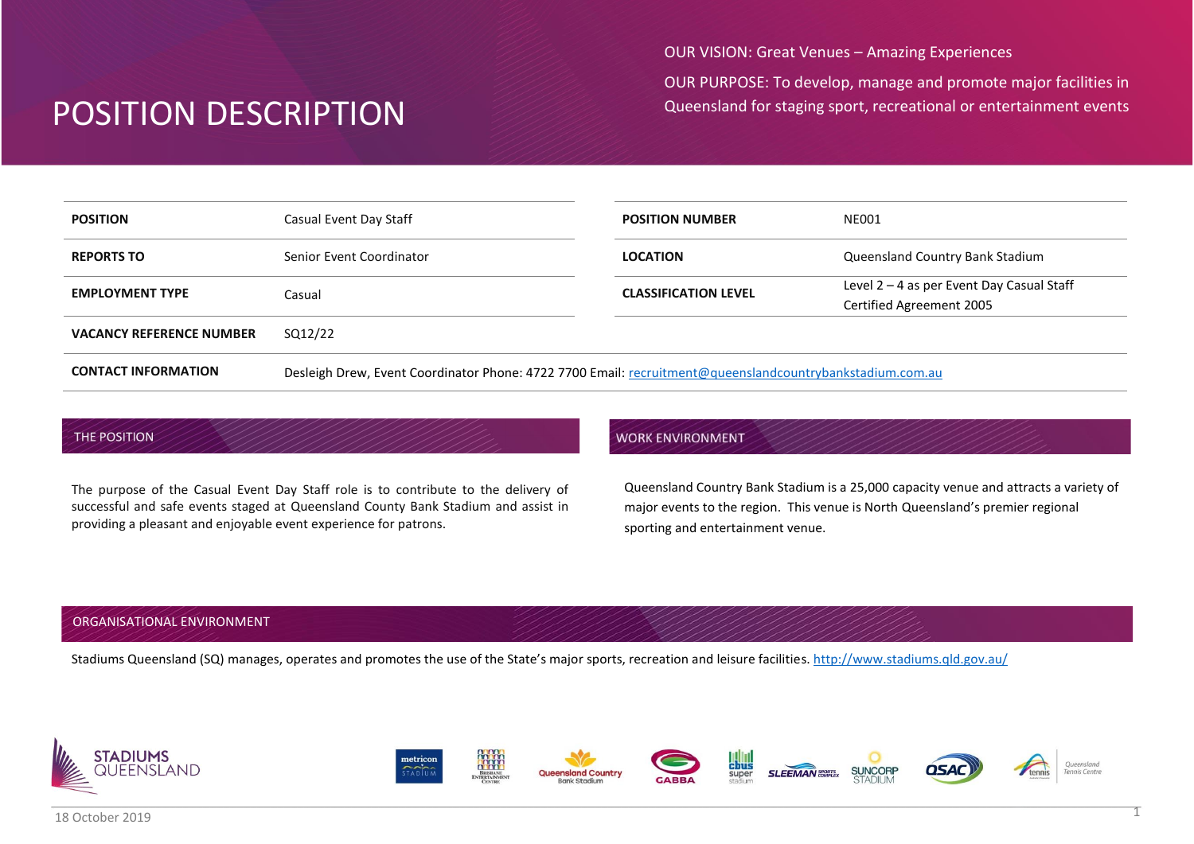OUR VISION: Great Venues – Amazing Experiences

OUR PURPOSE: To develop, manage and promote major facilities in Queensland for staging sport, recreational or entertainment events

| <b>POSITION</b>                 | Casual Event Day Staff                                                                                   | <b>POSITION NUMBER</b>      | <b>NE001</b>                              |
|---------------------------------|----------------------------------------------------------------------------------------------------------|-----------------------------|-------------------------------------------|
|                                 |                                                                                                          |                             |                                           |
| <b>REPORTS TO</b>               | Senior Event Coordinator                                                                                 | <b>LOCATION</b>             | Queensland Country Bank Stadium           |
| <b>EMPLOYMENT TYPE</b>          | Casual                                                                                                   | <b>CLASSIFICATION LEVEL</b> | Level 2 - 4 as per Event Day Casual Staff |
|                                 |                                                                                                          |                             | Certified Agreement 2005                  |
| <b>VACANCY REFERENCE NUMBER</b> | SQ12/22                                                                                                  |                             |                                           |
| <b>CONTACT INFORMATION</b>      | Desleigh Drew, Event Coordinator Phone: 4722 7700 Email: recruitment@queenslandcountrybankstadium.com.au |                             |                                           |

#### THE POSITION

The purpose of the Casual Event Day Staff role is to contribute to the delivery of successful and safe events staged at Queensland County Bank Stadium and assist in providing a pleasant and enjoyable event experience for patrons.

## **WORK ENVIRONMENT**

Queensland Country Bank Stadium is a 25,000 capacity venue and attracts a variety of major events to the region. This venue is North Queensland's premier regional sporting and entertainment venue.

## ORGANISATIONAL ENVIRONMENT

Stadiums Queensland (SQ) manages, operates and promotes the use of the State's major sports, recreation and leisure facilities. <http://www.stadiums.qld.gov.au/>

















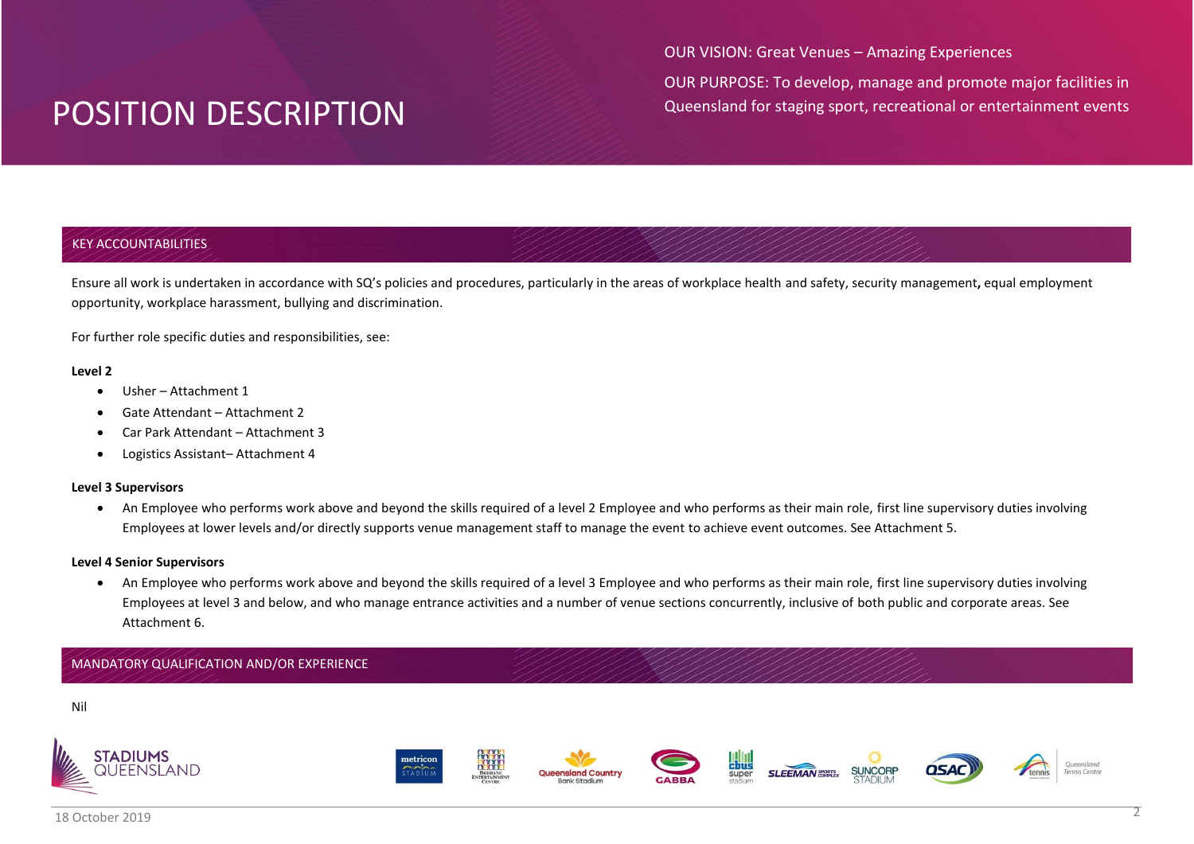OUR VISION: Great Venues – Amazing Experiences

OUR PURPOSE: To develop, manage and promote major facilities in Queensland for staging sport, recreational or entertainment events

## KEY ACCOUNTABILITIES

Ensure all work is undertaken in accordance with SQ's policies and procedures, particularly in the areas of workplace health and safety, security management**,** equal employment opportunity, workplace harassment, bullying and discrimination.

For further role specific duties and responsibilities, see:

#### **Level 2**

- Usher Attachment 1
- Gate Attendant Attachment 2
- Car Park Attendant Attachment 3
- Logistics Assistant– Attachment 4

### **Level 3 Supervisors**

 An Employee who performs work above and beyond the skills required of a level 2 Employee and who performs as their main role, first line supervisory duties involving Employees at lower levels and/or directly supports venue management staff to manage the event to achieve event outcomes. See Attachment 5.

### **Level 4 Senior Supervisors**

 An Employee who performs work above and beyond the skills required of a level 3 Employee and who performs as their main role, first line supervisory duties involving Employees at level 3 and below, and who manage entrance activities and a number of venue sections concurrently, inclusive of both public and corporate areas. See Attachment 6.

## MANDATORY QUALIFICATION AND/OR EXPERIENCE



















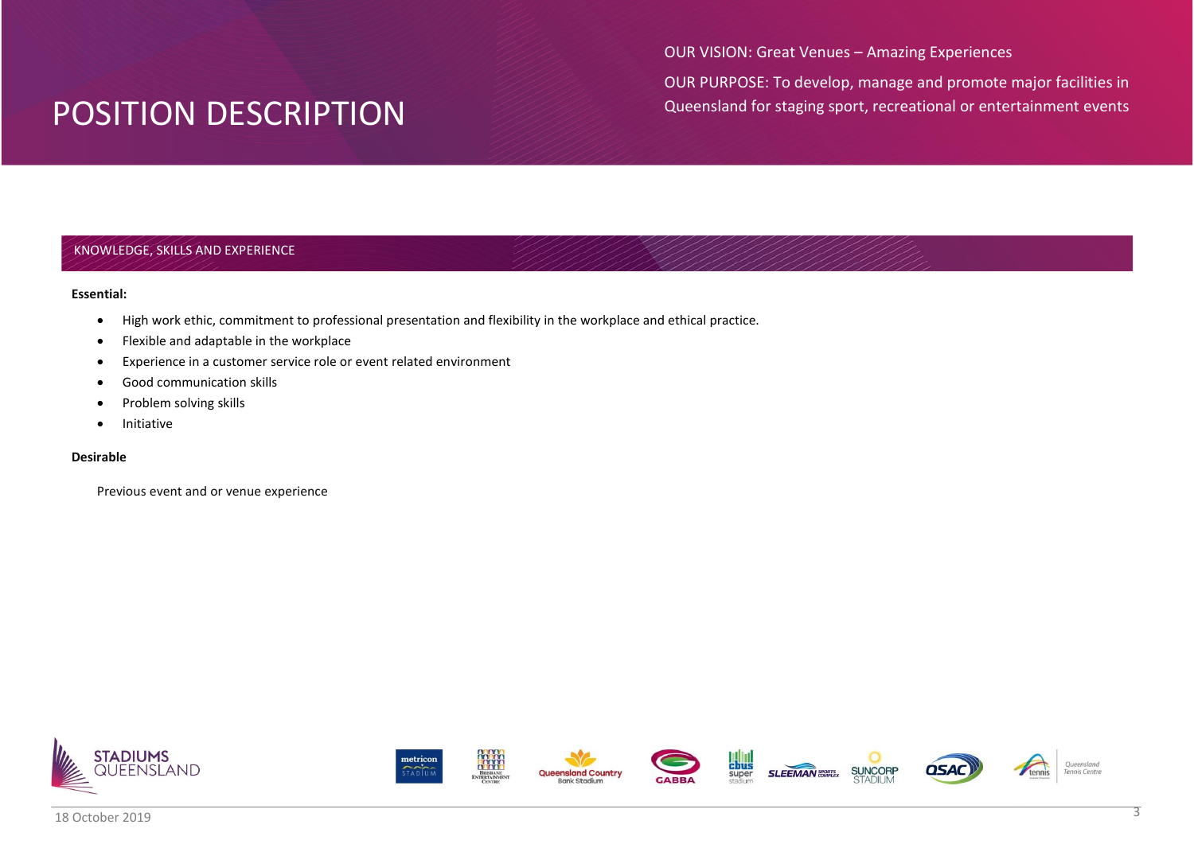OUR VISION: Great Venues – Amazing Experiences

OUR PURPOSE: To develop, manage and promote major facilities in Queensland for staging sport, recreational or entertainment events

## KNOWLEDGE, SKILLS AND EXPERIENCE

#### **Essential:**

- High work ethic, commitment to professional presentation and flexibility in the workplace and ethical practice.
- Flexible and adaptable in the workplace
- Experience in a customer service role or event related environment
- Good communication skills
- Problem solving skills
- **•** Initiative

### **Desirable**

Previous event and or venue experience



















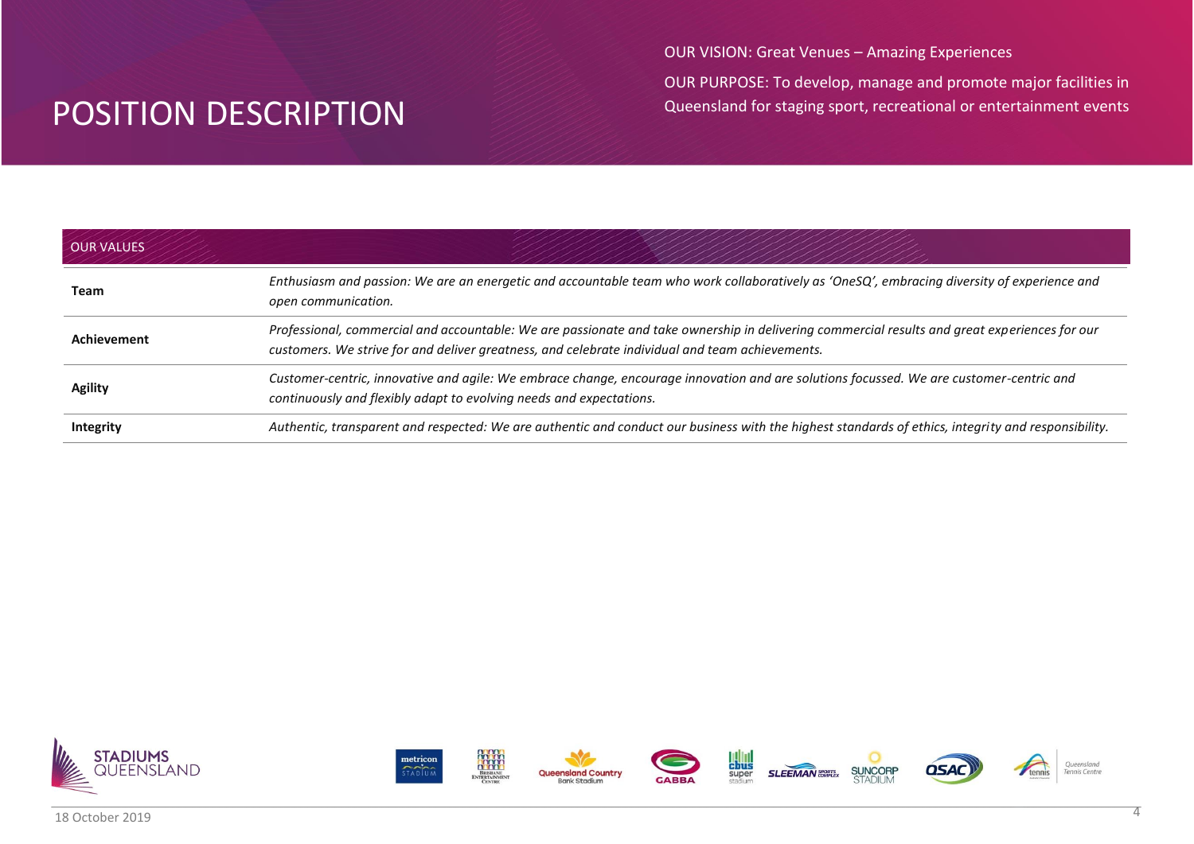OUR VISION: Great Venues – Amazing Experiences

OUR PURPOSE: To develop, manage and promote major facilities in Queensland for staging sport, recreational or entertainment events

| <b>OUR VALUES</b> |                                                                                                                                                                                                                                                  |
|-------------------|--------------------------------------------------------------------------------------------------------------------------------------------------------------------------------------------------------------------------------------------------|
| Team              | Enthusiasm and passion: We are an energetic and accountable team who work collaboratively as 'OneSQ', embracing diversity of experience and<br>open communication.                                                                               |
| Achievement       | Professional, commercial and accountable: We are passionate and take ownership in delivering commercial results and great experiences for our<br>customers. We strive for and deliver greatness, and celebrate individual and team achievements. |
| <b>Agility</b>    | Customer-centric, innovative and agile: We embrace change, encourage innovation and are solutions focussed. We are customer-centric and<br>continuously and flexibly adapt to evolving needs and expectations.                                   |
| <b>Integrity</b>  | Authentic, transparent and respected: We are authentic and conduct our business with the highest standards of ethics, integrity and responsibility.                                                                                              |

















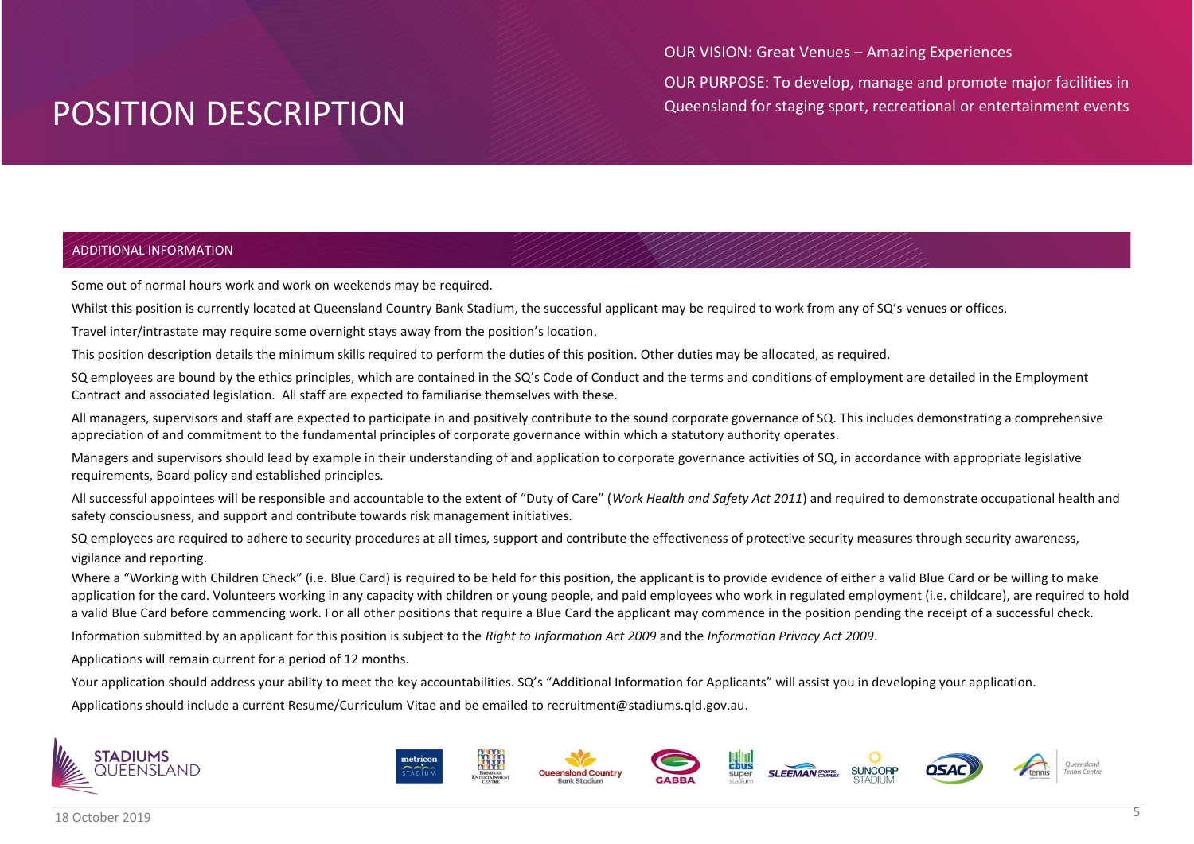OUR VISION: Great Venues – Amazing Experiences

OUR PURPOSE: To develop, manage and promote major facilities in Queensland for staging sport, recreational or entertainment events

## ADDITIONAL INFORMATION

Some out of normal hours work and work on weekends may be required.

Whilst this position is currently located at Queensland Country Bank Stadium, the successful applicant may be required to work from any of SQ's venues or offices.

Travel inter/intrastate may require some overnight stays away from the position's location.

This position description details the minimum skills required to perform the duties of this position. Other duties may be allocated, as required.

SQ employees are bound by the ethics principles, which are contained in the SQ's Code of Conduct and the terms and conditions of employment are detailed in the Employment Contract and associated legislation. All staff are expected to familiarise themselves with these.

All managers, supervisors and staff are expected to participate in and positively contribute to the sound corporate governance of SQ. This includes demonstrating a comprehensive appreciation of and commitment to the fundamental principles of corporate governance within which a statutory authority operates.

Managers and supervisors should lead by example in their understanding of and application to corporate governance activities of SQ, in accordance with appropriate legislative requirements, Board policy and established principles.

All successful appointees will be responsible and accountable to the extent of "Duty of Care" (*Work Health and Safety Act 2011*) and required to demonstrate occupational health and safety consciousness, and support and contribute towards risk management initiatives.

SQ employees are required to adhere to security procedures at all times, support and contribute the effectiveness of protective security measures through security awareness, vigilance and reporting.

Where a "Working with Children Check" (i.e. Blue Card) is required to be held for this position, the applicant is to provide evidence of either a valid Blue Card or be willing to make application for the card. Volunteers working in any capacity with children or young people, and paid employees who work in regulated employment (i.e. childcare), are required to hold a valid Blue Card before commencing work. For all other positions that require a Blue Card the applicant may commence in the position pending the receipt of a successful check.

Information submitted by an applicant for this position is subject to the *Right to Information Act 2009* and the *Information Privacy Act 2009*.

Applications will remain current for a period of 12 months.

Your application should address your ability to meet the key accountabilities. SQ's "Additional Information for Applicants" will assist you in developing your application.

Applications should include a current Resume/Curriculum Vitae and be emailed to recruitment@stadiums.qld.gov.au.

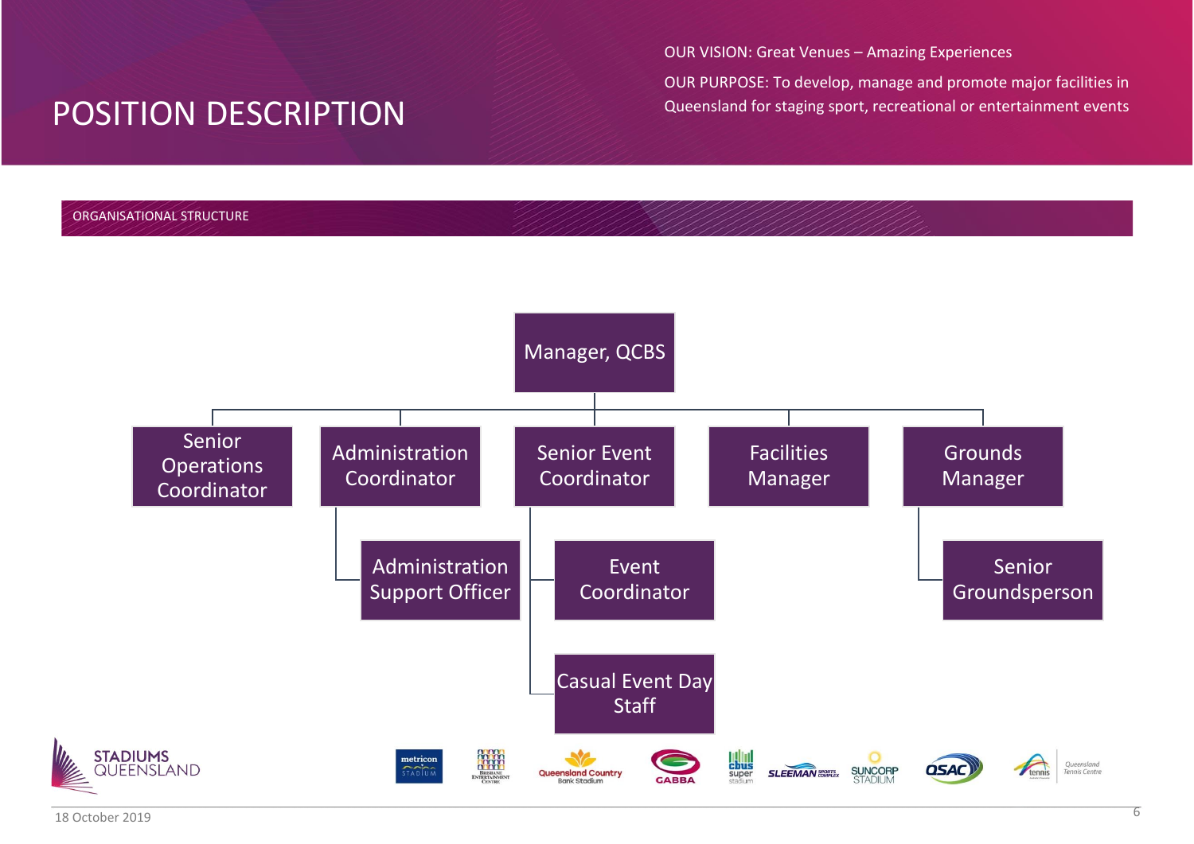OUR VISION: Great Venues – Amazing Experiences

OUR PURPOSE: To develop, manage and promote major facilities in Queensland for staging sport, recreational or entertainment events

## ORGANISATIONAL STRUCTURE

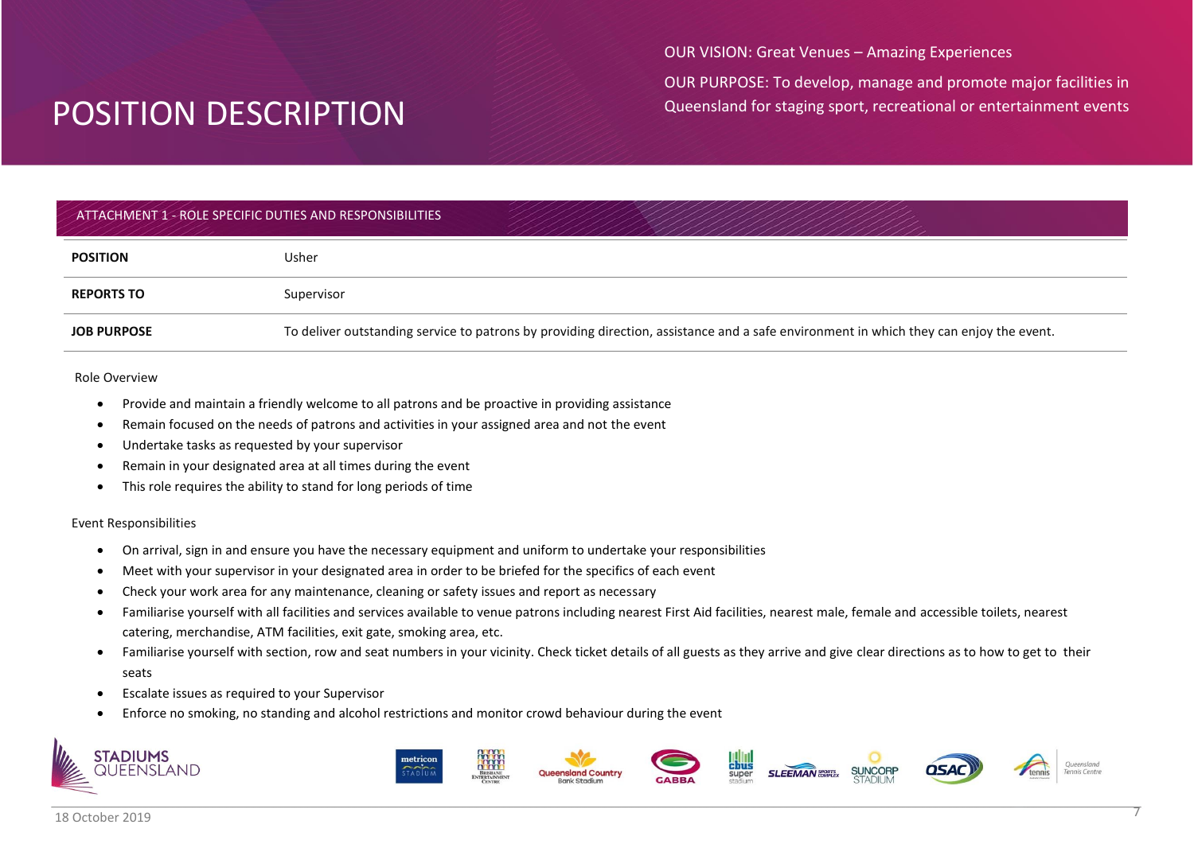OUR VISION: Great Venues – Amazing Experiences

OUR PURPOSE: To develop, manage and promote major facilities in Queensland for staging sport, recreational or entertainment events

## ATTACHMENT 1 - ROLE SPECIFIC DUTIES AND RESPONSIBILITIES

| <b>POSITION</b>    | Usher                                                                                                                                  |
|--------------------|----------------------------------------------------------------------------------------------------------------------------------------|
| <b>REPORTS TO</b>  | Supervisor                                                                                                                             |
| <b>JOB PURPOSE</b> | To deliver outstanding service to patrons by providing direction, assistance and a safe environment in which they can enjoy the event. |

#### Role Overview

- Provide and maintain a friendly welcome to all patrons and be proactive in providing assistance
- Remain focused on the needs of patrons and activities in your assigned area and not the event
- Undertake tasks as requested by your supervisor
- Remain in your designated area at all times during the event
- This role requires the ability to stand for long periods of time

### Event Responsibilities

- On arrival, sign in and ensure you have the necessary equipment and uniform to undertake your responsibilities
- Meet with your supervisor in your designated area in order to be briefed for the specifics of each event
- Check your work area for any maintenance, cleaning or safety issues and report as necessary
- Familiarise yourself with all facilities and services available to venue patrons including nearest First Aid facilities, nearest male, female and accessible toilets, nearest catering, merchandise, ATM facilities, exit gate, smoking area, etc.
- Familiarise yourself with section, row and seat numbers in your vicinity. Check ticket details of all guests as they arrive and give clear directions as to how to get to their seats
- Escalate issues as required to your Supervisor
- Enforce no smoking, no standing and alcohol restrictions and monitor crowd behaviour during the event



**STADIUMS** 

FENSI AND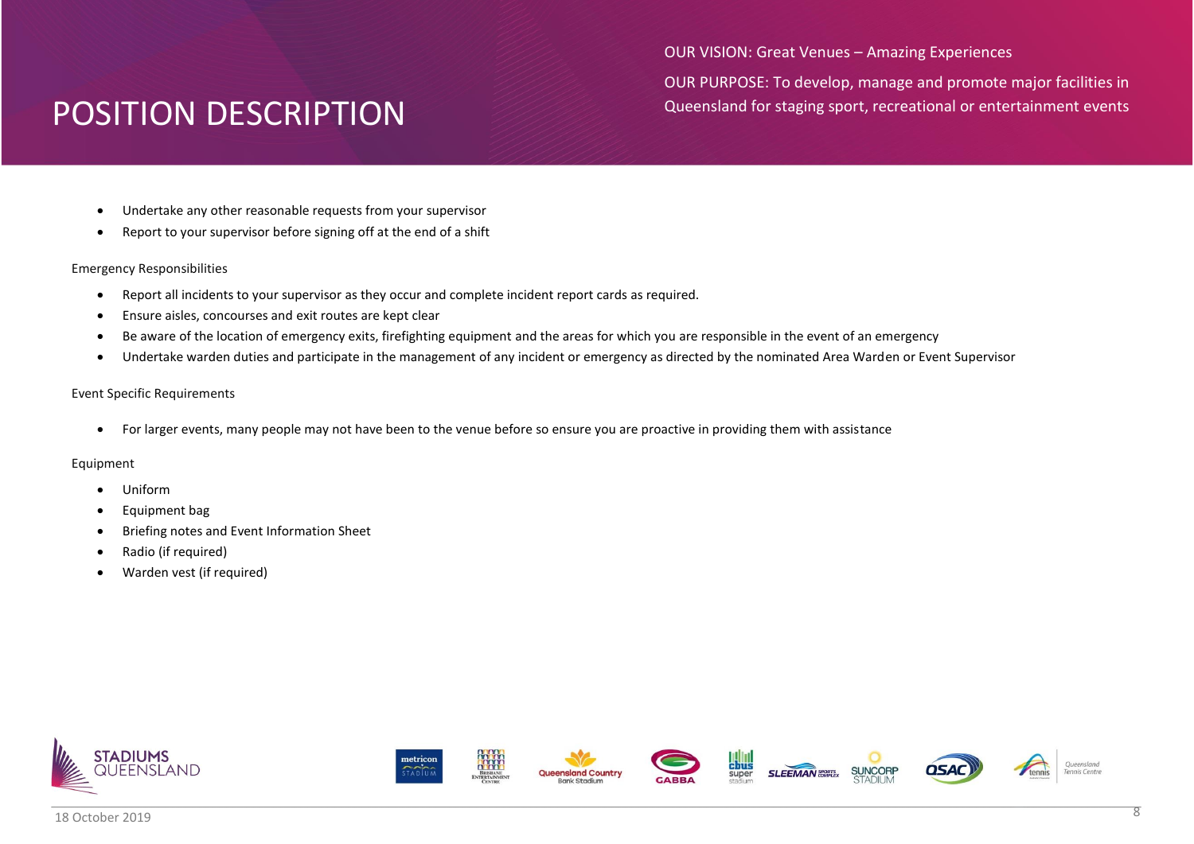OUR VISION: Great Venues – Amazing Experiences OUR PURPOSE: To develop, manage and promote major facilities in Queensland for staging sport, recreational or entertainment events

- Undertake any other reasonable requests from your supervisor
- Report to your supervisor before signing off at the end of a shift

### Emergency Responsibilities

- Report all incidents to your supervisor as they occur and complete incident report cards as required.
- Ensure aisles, concourses and exit routes are kept clear
- Be aware of the location of emergency exits, firefighting equipment and the areas for which you are responsible in the event of an emergency
- Undertake warden duties and participate in the management of any incident or emergency as directed by the nominated Area Warden or Event Supervisor

### Event Specific Requirements

For larger events, many people may not have been to the venue before so ensure you are proactive in providing them with assistance

- Uniform
- Equipment bag
- Briefing notes and Event Information Sheet
- Radio (if required)
- Warden vest (if required)

















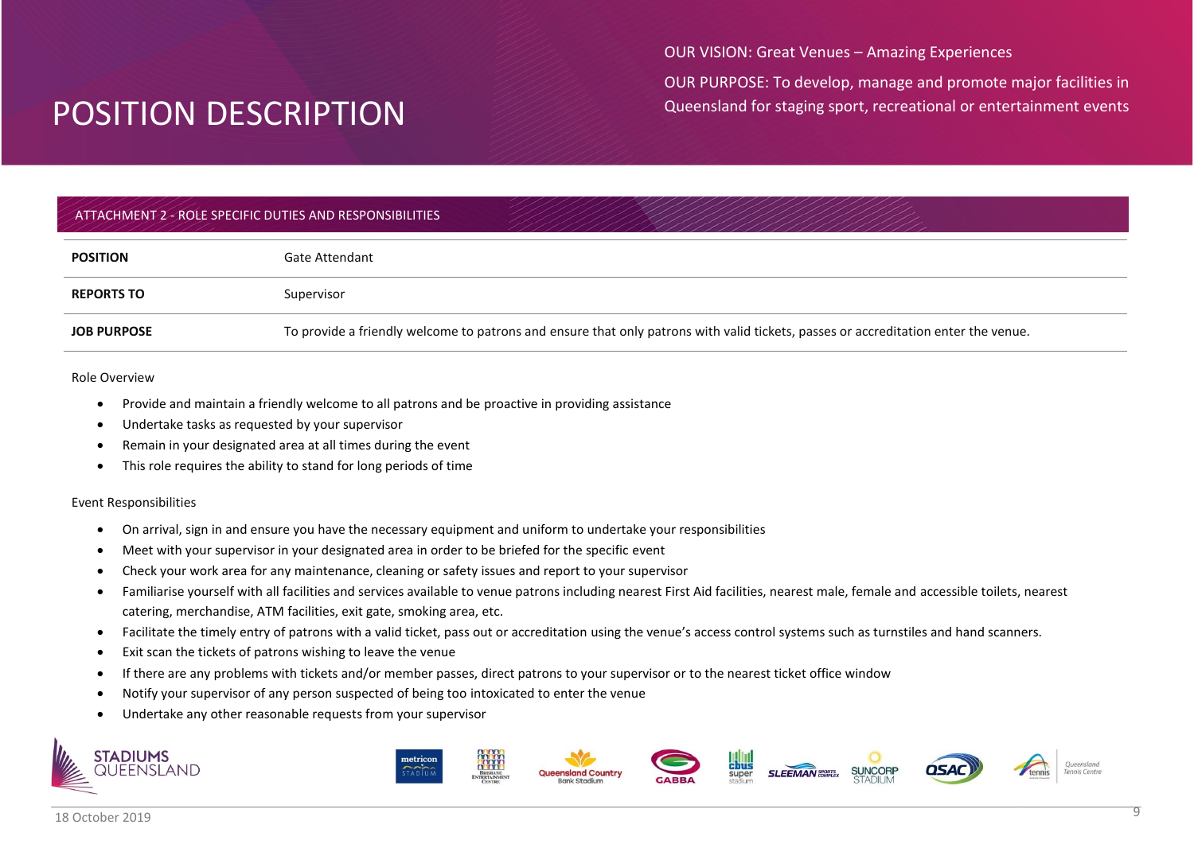OUR VISION: Great Venues – Amazing Experiences

OUR PURPOSE: To develop, manage and promote major facilities in Queensland for staging sport, recreational or entertainment events

## ATTACHMENT 2 - ROLE SPECIFIC DUTIES AND RESPONSIBILITIES

| <b>POSITION</b>    | Gate Attendant                                                                                                                     |
|--------------------|------------------------------------------------------------------------------------------------------------------------------------|
| <b>REPORTS TO</b>  | Supervisor                                                                                                                         |
| <b>JOB PURPOSE</b> | To provide a friendly welcome to patrons and ensure that only patrons with valid tickets, passes or accreditation enter the venue. |

#### Role Overview

- Provide and maintain a friendly welcome to all patrons and be proactive in providing assistance
- Undertake tasks as requested by your supervisor
- Remain in your designated area at all times during the event
- This role requires the ability to stand for long periods of time

#### Event Responsibilities

- On arrival, sign in and ensure you have the necessary equipment and uniform to undertake your responsibilities
- Meet with your supervisor in your designated area in order to be briefed for the specific event
- Check your work area for any maintenance, cleaning or safety issues and report to your supervisor
- Familiarise yourself with all facilities and services available to venue patrons including nearest First Aid facilities, nearest male, female and accessible toilets, nearest catering, merchandise, ATM facilities, exit gate, smoking area, etc.
- Facilitate the timely entry of patrons with a valid ticket, pass out or accreditation using the venue's access control systems such as turnstiles and hand scanners.
- Exit scan the tickets of patrons wishing to leave the venue
- If there are any problems with tickets and/or member passes, direct patrons to your supervisor or to the nearest ticket office window
- Notify your supervisor of any person suspected of being too intoxicated to enter the venue
- Undertake any other reasonable requests from your supervisor













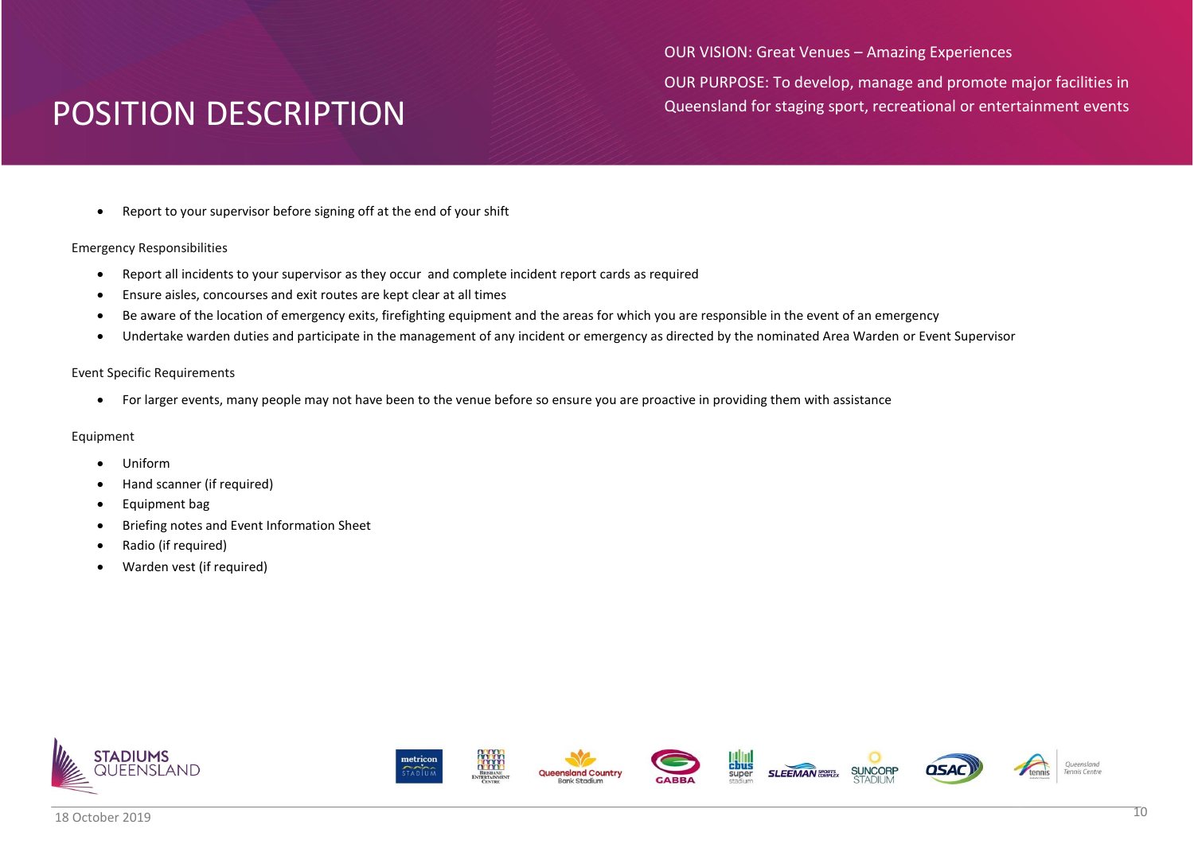OUR VISION: Great Venues – Amazing Experiences OUR PURPOSE: To develop, manage and promote major facilities in Queensland for staging sport, recreational or entertainment events

Report to your supervisor before signing off at the end of your shift

### Emergency Responsibilities

- Report all incidents to your supervisor as they occur and complete incident report cards as required
- Ensure aisles, concourses and exit routes are kept clear at all times
- Be aware of the location of emergency exits, firefighting equipment and the areas for which you are responsible in the event of an emergency
- Undertake warden duties and participate in the management of any incident or emergency as directed by the nominated Area Warden or Event Supervisor

### Event Specific Requirements

For larger events, many people may not have been to the venue before so ensure you are proactive in providing them with assistance

- Uniform
- Hand scanner (if required)
- Equipment bag
- Briefing notes and Event Information Sheet
- Radio (if required)
- Warden vest (if required)















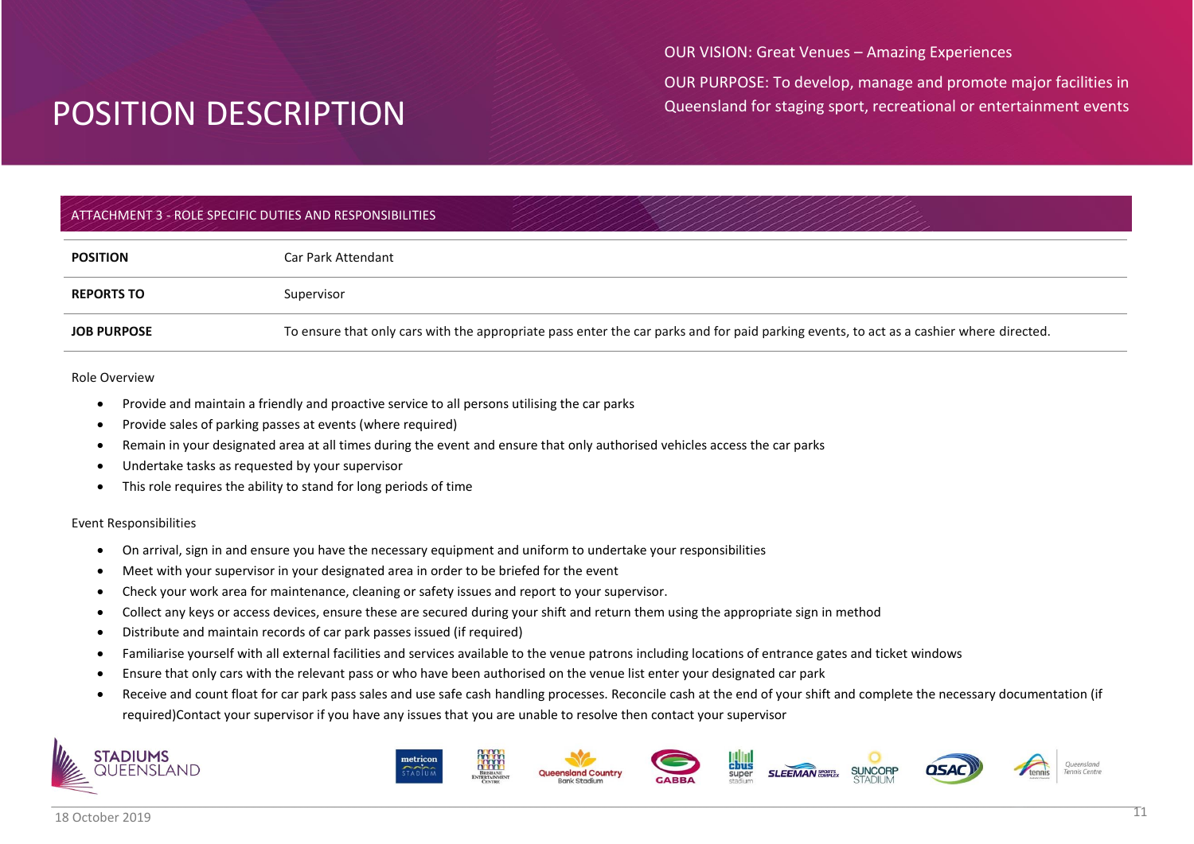OUR VISION: Great Venues – Amazing Experiences

OUR PURPOSE: To develop, manage and promote major facilities in Queensland for staging sport, recreational or entertainment events

## ATTACHMENT 3 - ROLE SPECIFIC DUTIES AND RESPONSIBILITIES

| <b>POSITION</b>    | Car Park Attendant                                                                                                                      |
|--------------------|-----------------------------------------------------------------------------------------------------------------------------------------|
| <b>REPORTS TO</b>  | Supervisor                                                                                                                              |
| <b>JOB PURPOSE</b> | To ensure that only cars with the appropriate pass enter the car parks and for paid parking events, to act as a cashier where directed. |

#### Role Overview

- Provide and maintain a friendly and proactive service to all persons utilising the car parks
- Provide sales of parking passes at events (where required)
- Remain in your designated area at all times during the event and ensure that only authorised vehicles access the car parks
- Undertake tasks as requested by your supervisor
- This role requires the ability to stand for long periods of time

#### Event Responsibilities

- On arrival, sign in and ensure you have the necessary equipment and uniform to undertake your responsibilities
- Meet with your supervisor in your designated area in order to be briefed for the event
- Check your work area for maintenance, cleaning or safety issues and report to your supervisor.
- Collect any keys or access devices, ensure these are secured during your shift and return them using the appropriate sign in method
- Distribute and maintain records of car park passes issued (if required)
- Familiarise yourself with all external facilities and services available to the venue patrons including locations of entrance gates and ticket windows
- Ensure that only cars with the relevant pass or who have been authorised on the venue list enter your designated car park
- Receive and count float for car park pass sales and use safe cash handling processes. Reconcile cash at the end of your shift and complete the necessary documentation (if required)Contact your supervisor if you have any issues that you are unable to resolve then contact your supervisor



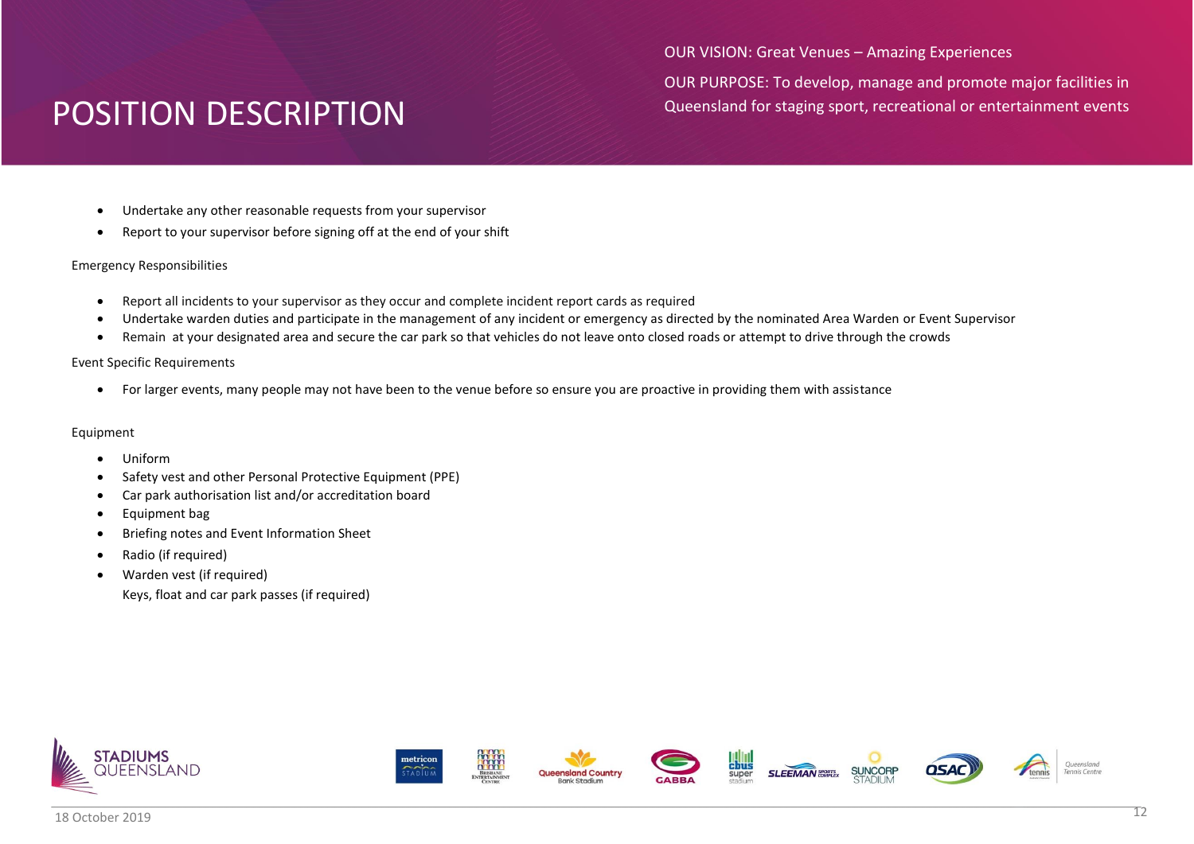OUR VISION: Great Venues – Amazing Experiences

OUR PURPOSE: To develop, manage and promote major facilities in Queensland for staging sport, recreational or entertainment events

- Undertake any other reasonable requests from your supervisor
- Report to your supervisor before signing off at the end of your shift

### Emergency Responsibilities

- Report all incidents to your supervisor as they occur and complete incident report cards as required
- Undertake warden duties and participate in the management of any incident or emergency as directed by the nominated Area Warden or Event Supervisor
- Remain at your designated area and secure the car park so that vehicles do not leave onto closed roads or attempt to drive through the crowds

### Event Specific Requirements

For larger events, many people may not have been to the venue before so ensure you are proactive in providing them with assistance

- Uniform
- Safety vest and other Personal Protective Equipment (PPE)
- Car park authorisation list and/or accreditation board
- Equipment bag
- Briefing notes and Event Information Sheet
- Radio (if required)
- Warden vest (if required)
	- Keys, float and car park passes (if required)















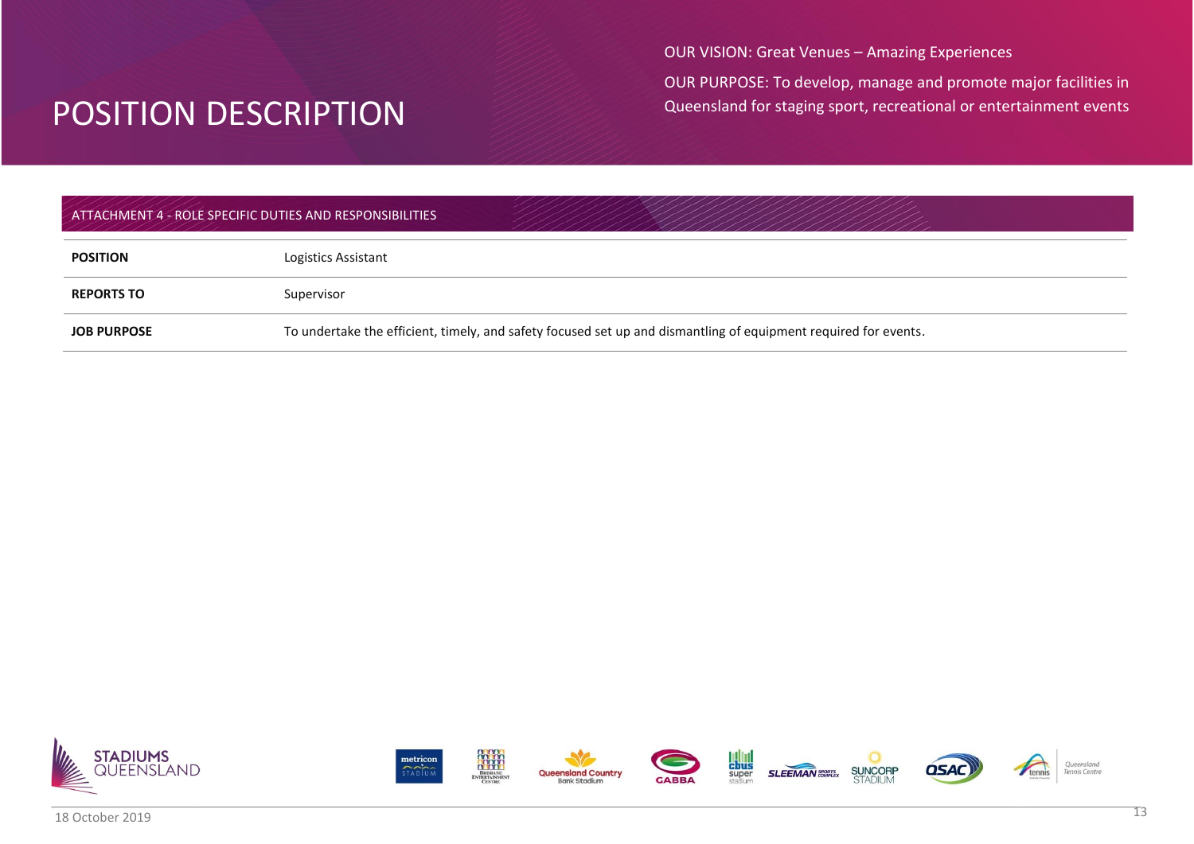OUR VISION: Great Venues – Amazing Experiences

OUR PURPOSE: To develop, manage and promote major facilities in Queensland for staging sport, recreational or entertainment events

## ATTACHMENT 4 - ROLE SPECIFIC DUTIES AND RESPONSIBILITIES

| <b>POSITION</b>    | Logistics Assistant                                                                                             |
|--------------------|-----------------------------------------------------------------------------------------------------------------|
| <b>REPORTS TO</b>  | Supervisor                                                                                                      |
| <b>JOB PURPOSE</b> | To undertake the efficient, timely, and safety focused set up and dismantling of equipment required for events. |



















Queensland<br>Tennis Centre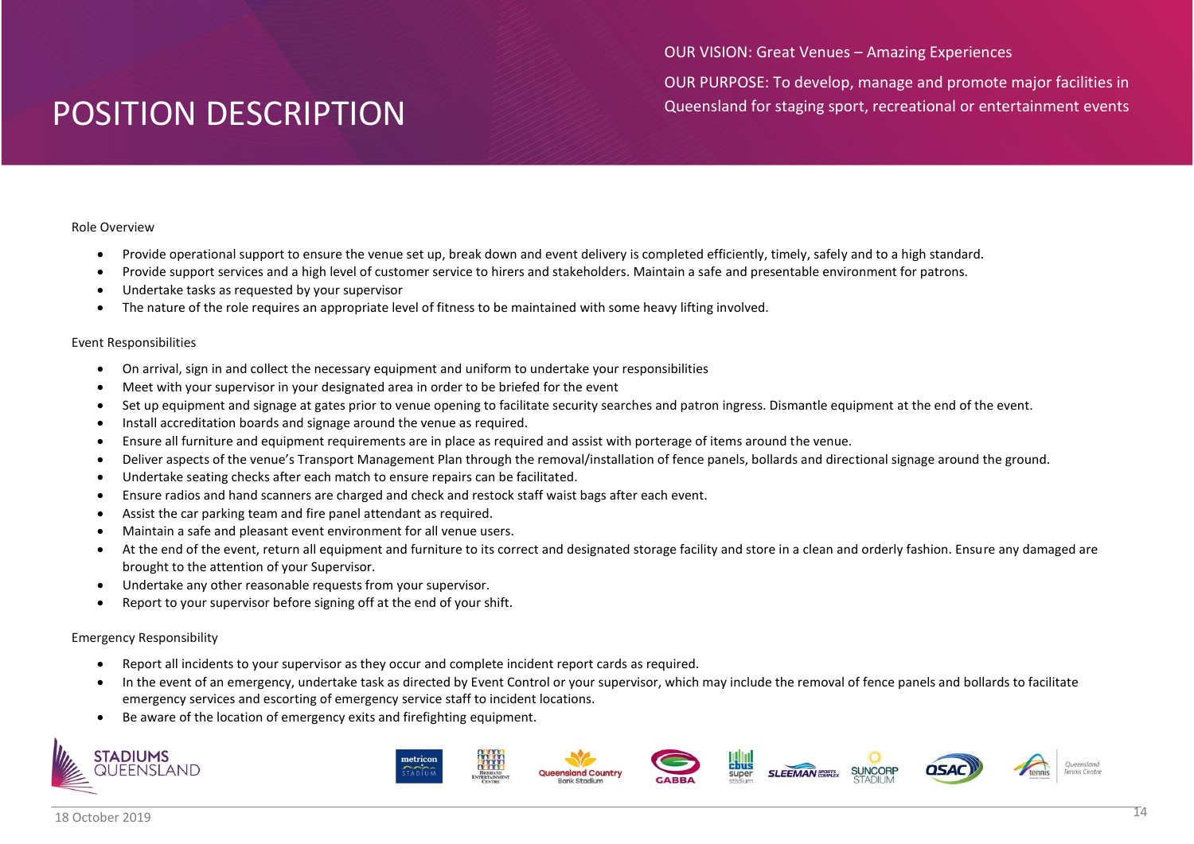OUR VISION: Great Venues – Amazing Experiences

OUR PURPOSE: To develop, manage and promote major facilities in Queensland for staging sport, recreational or entertainment events

### Role Overview

- Provide operational support to ensure the venue set up, break down and event delivery is completed efficiently, timely, safely and to a high standard.
- Provide support services and a high level of customer service to hirers and stakeholders. Maintain a safe and presentable environment for patrons.
- Undertake tasks as requested by your supervisor
- The nature of the role requires an appropriate level of fitness to be maintained with some heavy lifting involved.

### Event Responsibilities

- On arrival, sign in and collect the necessary equipment and uniform to undertake your responsibilities
- Meet with your supervisor in your designated area in order to be briefed for the event
- Set up equipment and signage at gates prior to venue opening to facilitate security searches and patron ingress. Dismantle equipment at the end of the event.
- Install accreditation boards and signage around the venue as required.
- Ensure all furniture and equipment requirements are in place as required and assist with porterage of items around the venue.
- Deliver aspects of the venue's Transport Management Plan through the removal/installation of fence panels, bollards and directional signage around the ground.
- Undertake seating checks after each match to ensure repairs can be facilitated.
- Ensure radios and hand scanners are charged and check and restock staff waist bags after each event.
- Assist the car parking team and fire panel attendant as required.
- Maintain a safe and pleasant event environment for all venue users.
- At the end of the event, return all equipment and furniture to its correct and designated storage facility and store in a clean and orderly fashion. Ensure any damaged are brought to the attention of your Supervisor.
- Undertake any other reasonable requests from your supervisor.
- Report to your supervisor before signing off at the end of your shift.

## Emergency Responsibility

**STADIUMS** 

- Report all incidents to your supervisor as they occur and complete incident report cards as required.
- In the event of an emergency, undertake task as directed by Event Control or your supervisor, which may include the removal of fence panels and bollards to facilitate emergency services and escorting of emergency service staff to incident locations.
- Be aware of the location of emergency exits and firefighting equipment.

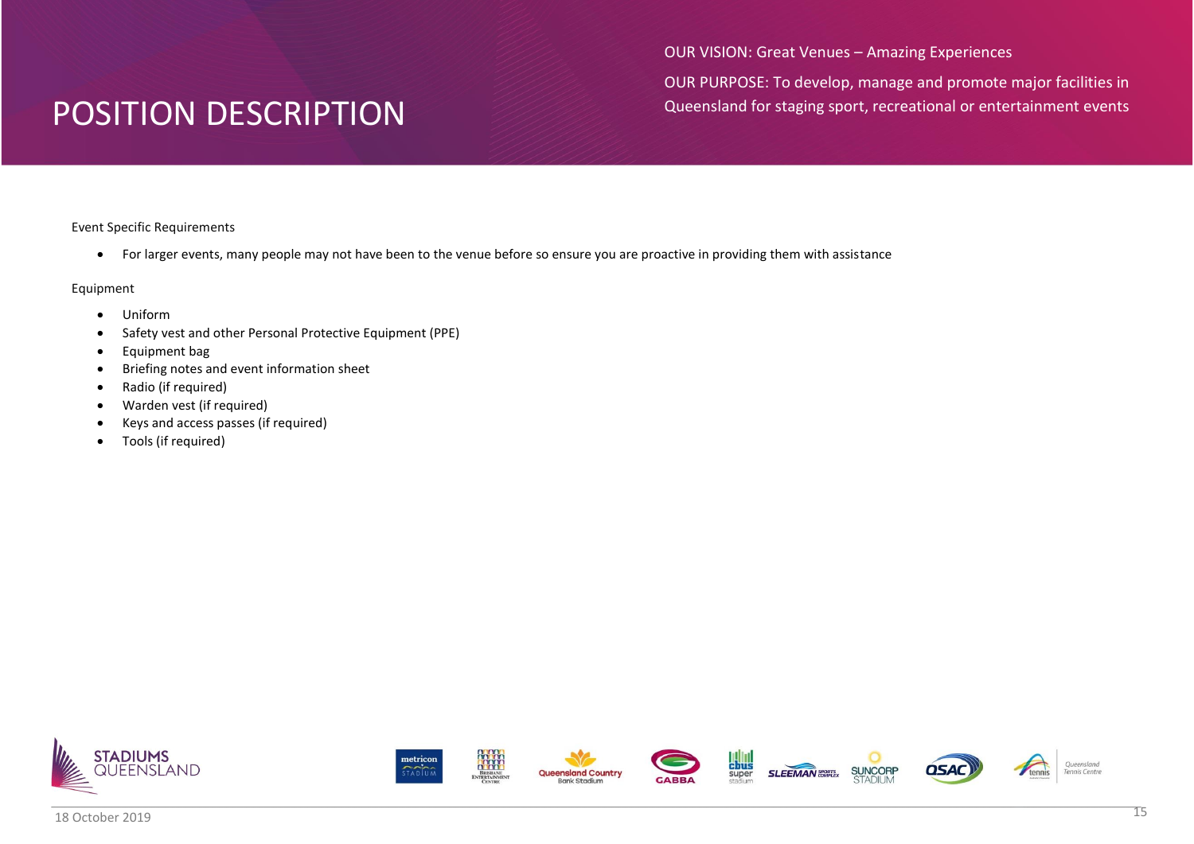OUR VISION: Great Venues – Amazing Experiences

OUR PURPOSE: To develop, manage and promote major facilities in Queensland for staging sport, recreational or entertainment events

Event Specific Requirements

For larger events, many people may not have been to the venue before so ensure you are proactive in providing them with assistance

- Uniform
- Safety vest and other Personal Protective Equipment (PPE)
- Equipment bag
- Briefing notes and event information sheet
- Radio (if required)
- Warden vest (if required)
- Keys and access passes (if required)
- Tools (if required)

















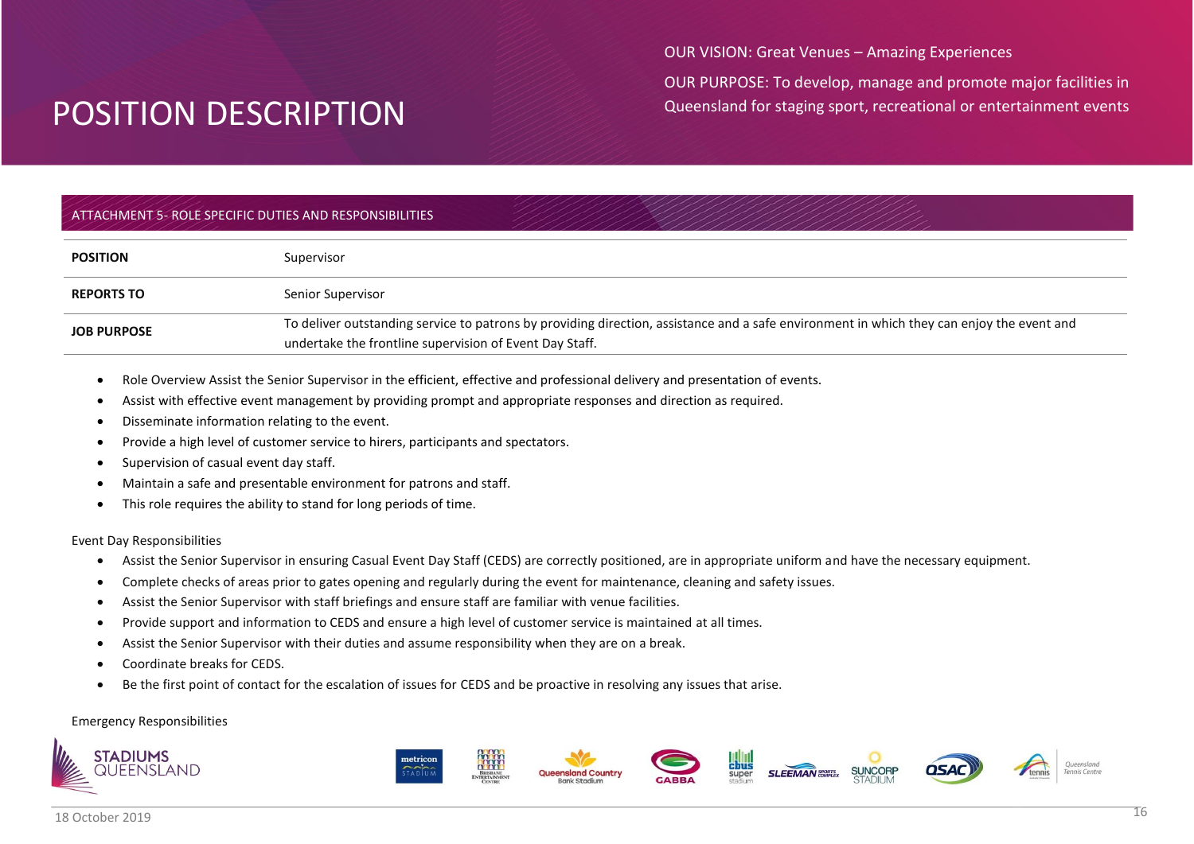OUR VISION: Great Venues – Amazing Experiences

OUR PURPOSE: To develop, manage and promote major facilities in Queensland for staging sport, recreational or entertainment events

## ATTACHMENT 5- ROLE SPECIFIC DUTIES AND RESPONSIBILITIES

| <b>POSITION</b>    | Supervisor                                                                                                                                                                                           |
|--------------------|------------------------------------------------------------------------------------------------------------------------------------------------------------------------------------------------------|
| <b>REPORTS TO</b>  | Senior Supervisor                                                                                                                                                                                    |
| <b>JOB PURPOSE</b> | To deliver outstanding service to patrons by providing direction, assistance and a safe environment in which they can enjoy the event and<br>undertake the frontline supervision of Event Day Staff. |

- Role Overview Assist the Senior Supervisor in the efficient, effective and professional delivery and presentation of events.
- Assist with effective event management by providing prompt and appropriate responses and direction as required.
- Disseminate information relating to the event.
- Provide a high level of customer service to hirers, participants and spectators.
- Supervision of casual event day staff.
- Maintain a safe and presentable environment for patrons and staff.
- This role requires the ability to stand for long periods of time.

#### Event Day Responsibilities

- Assist the Senior Supervisor in ensuring Casual Event Day Staff (CEDS) are correctly positioned, are in appropriate uniform and have the necessary equipment.
- Complete checks of areas prior to gates opening and regularly during the event for maintenance, cleaning and safety issues.
- Assist the Senior Supervisor with staff briefings and ensure staff are familiar with venue facilities.
- Provide support and information to CEDS and ensure a high level of customer service is maintained at all times.
- Assist the Senior Supervisor with their duties and assume responsibility when they are on a break.
- Coordinate breaks for CEDS.
- Be the first point of contact for the escalation of issues for CEDS and be proactive in resolving any issues that arise.

#### Emergency Responsibilities











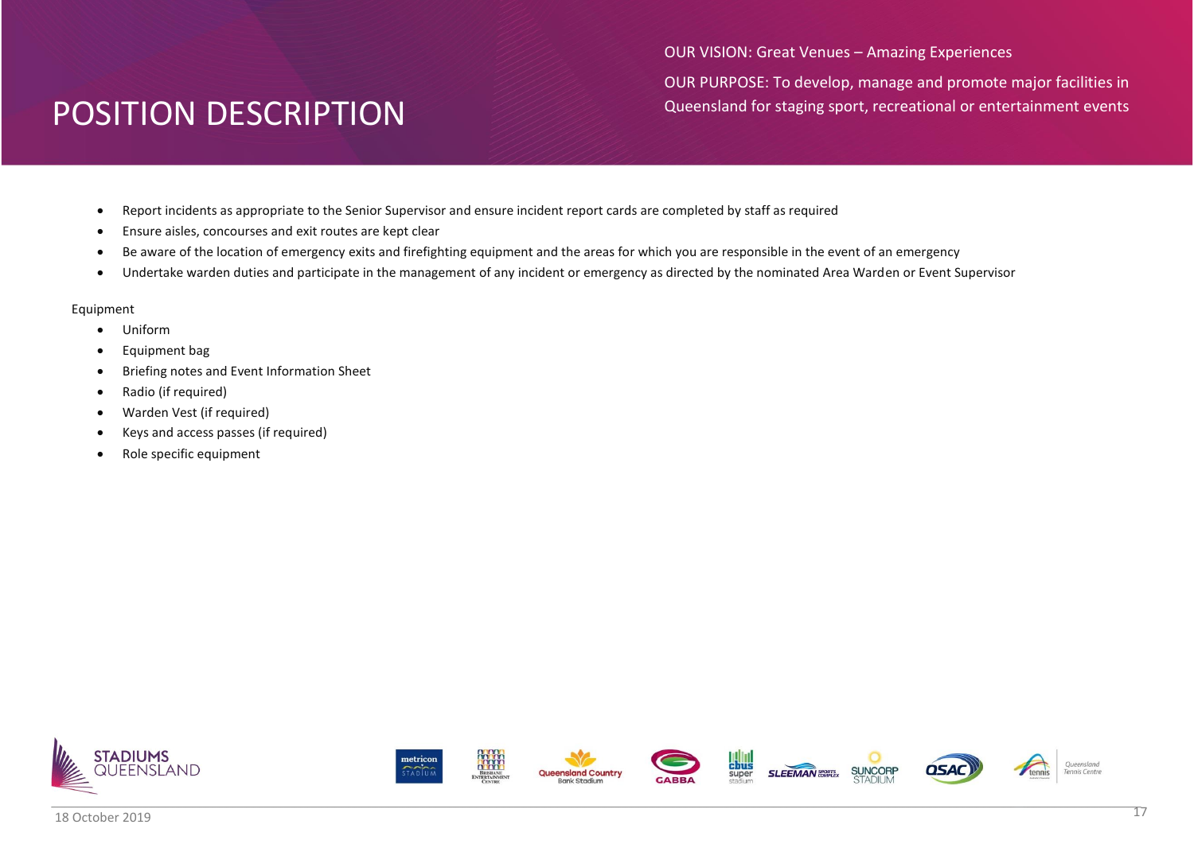OUR VISION: Great Venues – Amazing Experiences OUR PURPOSE: To develop, manage and promote major facilities in Queensland for staging sport, recreational or entertainment events

- Report incidents as appropriate to the Senior Supervisor and ensure incident report cards are completed by staff as required
- Ensure aisles, concourses and exit routes are kept clear
- Be aware of the location of emergency exits and firefighting equipment and the areas for which you are responsible in the event of an emergency
- Undertake warden duties and participate in the management of any incident or emergency as directed by the nominated Area Warden or Event Supervisor

- Uniform
- Equipment bag
- Briefing notes and Event Information Sheet
- Radio (if required)
- Warden Vest (if required)
- Keys and access passes (if required)
- Role specific equipment

















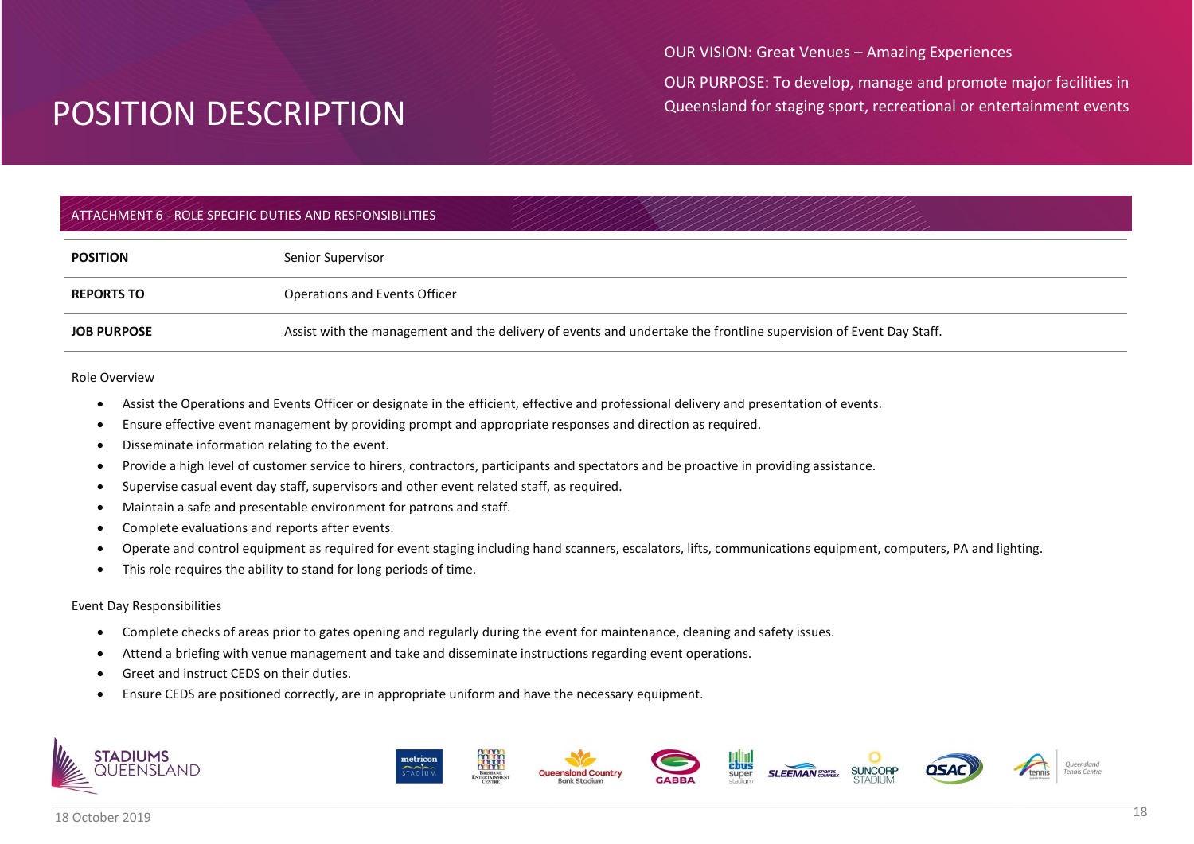OUR VISION: Great Venues – Amazing Experiences

OUR PURPOSE: To develop, manage and promote major facilities in Queensland for staging sport, recreational or entertainment events

## ATTACHMENT 6 - ROLE SPECIFIC DUTIES AND RESPONSIBILITIES

| <b>POSITION</b>    | Senior Supervisor                                                                                                 |
|--------------------|-------------------------------------------------------------------------------------------------------------------|
| <b>REPORTS TO</b>  | Operations and Events Officer                                                                                     |
| <b>JOB PURPOSE</b> | Assist with the management and the delivery of events and undertake the frontline supervision of Event Day Staff. |

#### Role Overview

- Assist the Operations and Events Officer or designate in the efficient, effective and professional delivery and presentation of events.
- Ensure effective event management by providing prompt and appropriate responses and direction as required.
- Disseminate information relating to the event.
- Provide a high level of customer service to hirers, contractors, participants and spectators and be proactive in providing assistance.
- Supervise casual event day staff, supervisors and other event related staff, as required.
- Maintain a safe and presentable environment for patrons and staff.
- Complete evaluations and reports after events.
- Operate and control equipment as required for event staging including hand scanners, escalators, lifts, communications equipment, computers, PA and lighting.
- This role requires the ability to stand for long periods of time.

### Event Day Responsibilities

- Complete checks of areas prior to gates opening and regularly during the event for maintenance, cleaning and safety issues.
- Attend a briefing with venue management and take and disseminate instructions regarding event operations.
- Greet and instruct CEDS on their duties.
- Ensure CEDS are positioned correctly, are in appropriate uniform and have the necessary equipment.